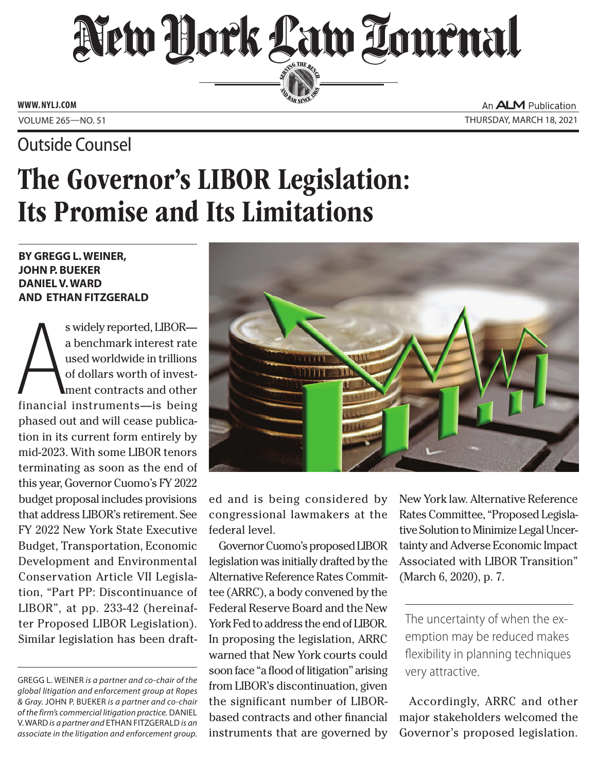# SERVING THE BEN

**ED BAR SINCE 188** 

**www. NYLJ.com**

### Outside Counsel

An **ALM** Publication Volume 265—NO. 51 Thursday, March 18, 2021

## The Governor's LIBOR Legislation: Its Promise and Its Limitations

#### **by Gregg L. Weiner, John P. Bueker Daniel V. Ward and Ethan Fitzgerald**

s widely reported, LIBOR—<br>a benchmark interest rate<br>used worldwide in trillions<br>of dollars worth of invest-<br>financial instruments—is being s widely reported, LIBOR a benchmark interest rate used worldwide in trillions of dollars worth of investment contracts and other phased out and will cease publication in its current form entirely by mid-2023. With some LIBOR tenors terminating as soon as the end of this year, Governor Cuomo's FY 2022 budget proposal includes provisions that address LIBOR's retirement. See FY 2022 New York State Executive Budget, Transportation, Economic Development and Environmental Conservation Article VII Legislation, "Part PP: Discontinuance of LIBOR", at pp. 233-42 (hereinafter Proposed LIBOR Legislation). Similar legislation has been draft-



ed and is being considered by congressional lawmakers at the federal level.

Governor Cuomo's proposed LIBOR legislation was initially drafted by the Alternative Reference Rates Committee (ARRC), a body convened by the Federal Reserve Board and the New York Fed to address the end of LIBOR. In proposing the legislation, ARRC warned that New York courts could soon face "a flood of litigation" arising from LIBOR's discontinuation, given the significant number of LIBORbased contracts and other financial instruments that are governed by

New York law. Alternative Reference Rates Committee, "Proposed Legislative Solution to Minimize Legal Uncertainty and Adverse Economic Impact Associated with LIBOR Transition" (March 6, 2020), p. 7.

The uncertainty of when the exemption may be reduced makes flexibility in planning techniques very attractive.

Accordingly, ARRC and other major stakeholders welcomed the Governor's proposed legislation.

Gregg L. Weiner *is a partner and co-chair of the global litigation and enforcement group at Ropes & Gray.* John P. Bueker *is a partner and co-chair of the firm's commercial litigation practice.* Daniel V. Ward *is a partner and* Ethan Fitzgerald *is an associate in the litigation and enforcement group.*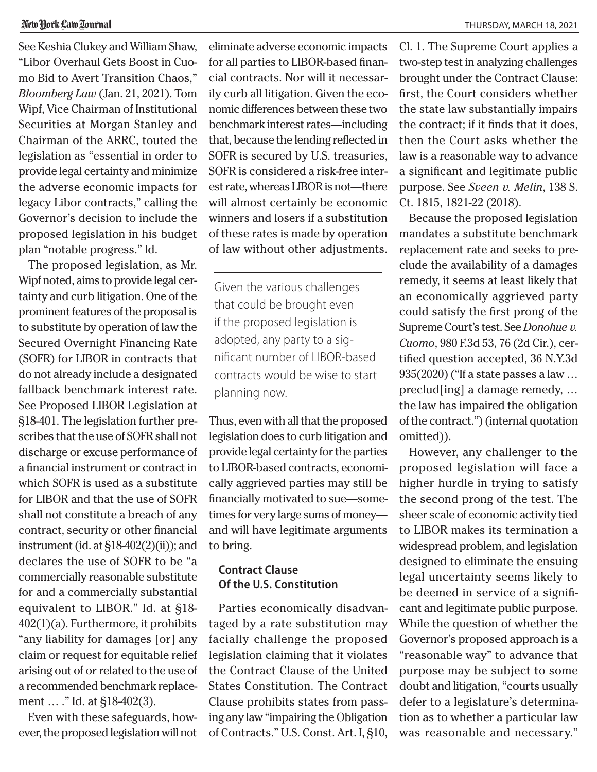#### New York Law Zournal

See Keshia Clukey and William Shaw, "Libor Overhaul Gets Boost in Cuomo Bid to Avert Transition Chaos," *Bloomberg Law* (Jan. 21, 2021). Tom Wipf, Vice Chairman of Institutional Securities at Morgan Stanley and Chairman of the ARRC, touted the legislation as "essential in order to provide legal certainty and minimize the adverse economic impacts for legacy Libor contracts," calling the Governor's decision to include the proposed legislation in his budget plan "notable progress." Id.

The proposed legislation, as Mr. Wipf noted, aims to provide legal certainty and curb litigation. One of the prominent features of the proposal is to substitute by operation of law the Secured Overnight Financing Rate (SOFR) for LIBOR in contracts that do not already include a designated fallback benchmark interest rate. See Proposed LIBOR Legislation at §18-401. The legislation further prescribes that the use of SOFR shall not discharge or excuse performance of a financial instrument or contract in which SOFR is used as a substitute for LIBOR and that the use of SOFR shall not constitute a breach of any contract, security or other financial instrument (id. at §18-402(2)(ii)); and declares the use of SOFR to be "a commercially reasonable substitute for and a commercially substantial equivalent to LIBOR." Id. at §18- 402(1)(a). Furthermore, it prohibits "any liability for damages [or] any claim or request for equitable relief arising out of or related to the use of a recommended benchmark replacement … ." Id. at §18-402(3).

Even with these safeguards, however, the proposed legislation will not

eliminate adverse economic impacts for all parties to LIBOR-based financial contracts. Nor will it necessarily curb all litigation. Given the economic differences between these two benchmark interest rates—including that, because the lending reflected in SOFR is secured by U.S. treasuries, SOFR is considered a risk-free interest rate, whereas LIBOR is not—there will almost certainly be economic winners and losers if a substitution of these rates is made by operation of law without other adjustments.

Given the various challenges that could be brought even if the proposed legislation is adopted, any party to a significant number of LIBOR-based contracts would be wise to start planning now.

Thus, even with all that the proposed legislation does to curb litigation and provide legal certainty for the parties to LIBOR-based contracts, economically aggrieved parties may still be financially motivated to sue—sometimes for very large sums of money and will have legitimate arguments to bring.

#### **Contract Clause Of the U.S. Constitution**

Parties economically disadvantaged by a rate substitution may facially challenge the proposed legislation claiming that it violates the Contract Clause of the United States Constitution. The Contract Clause prohibits states from passing any law "impairing the Obligation of Contracts." U.S. Const. Art. I, §10,

Cl. 1. The Supreme Court applies a two-step test in analyzing challenges brought under the Contract Clause: first, the Court considers whether the state law substantially impairs the contract; if it finds that it does, then the Court asks whether the law is a reasonable way to advance a significant and legitimate public purpose. See *Sveen v. Melin*, 138 S. Ct. 1815, 1821-22 (2018).

Because the proposed legislation mandates a substitute benchmark replacement rate and seeks to preclude the availability of a damages remedy, it seems at least likely that an economically aggrieved party could satisfy the first prong of the Supreme Court's test. See *Donohue v. Cuomo*, 980 F.3d 53, 76 (2d Cir.), certified question accepted, 36 N.Y.3d 935(2020) ("If a state passes a law … preclud[ing] a damage remedy, … the law has impaired the obligation of the contract.") (internal quotation omitted)).

However, any challenger to the proposed legislation will face a higher hurdle in trying to satisfy the second prong of the test. The sheer scale of economic activity tied to LIBOR makes its termination a widespread problem, and legislation designed to eliminate the ensuing legal uncertainty seems likely to be deemed in service of a significant and legitimate public purpose. While the question of whether the Governor's proposed approach is a "reasonable way" to advance that purpose may be subject to some doubt and litigation, "courts usually defer to a legislature's determination as to whether a particular law was reasonable and necessary."